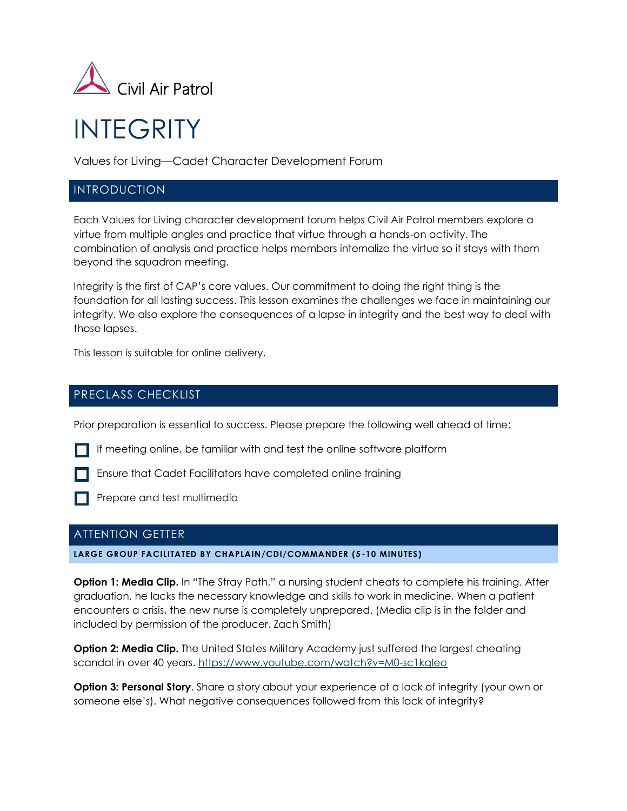

# INTEGRITY

Values for Living—Cadet Character Development Forum

## INTRODUCTION

Each Values for Living character development forum helps Civil Air Patrol members explore a virtue from multiple angles and practice that virtue through a hands-on activity. The combination of analysis and practice helps members internalize the virtue so it stays with them beyond the squadron meeting.

Integrity is the first of CAP's core values. Our commitment to doing the right thing is the foundation for all lasting success. This lesson examines the challenges we face in maintaining our integrity. We also explore the consequences of a lapse in integrity and the best way to deal with those lapses.

This lesson is suitable for online delivery.

## PRECLASS CHECKLIST

Prior preparation is essential to success. Please prepare the following well ahead of time:

If meeting online, be familiar with and test the online software platform

**Ensure that Cadet Facilitators have completed online training** 

**Prepare and test multimedia** 

### ATTENTION GETTER

**LARGE GROUP FACILITATED BY CHAPLAIN/CDI/COMMANDER (5 -10 MINUTES)**

**Option 1: Media Clip.** In "The Stray Path," a nursing student cheats to complete his training. After graduation, he lacks the necessary knowledge and skills to work in medicine. When a patient encounters a crisis, the new nurse is completely unprepared. (Media clip is in the folder and included by permission of the producer, Zach Smith)

**Option 2: Media Clip.** The United States Military Academy just suffered the largest cheating scandal in over 40 years.<https://www.youtube.com/watch?v=M0-sc1kqIeo>

**Option 3: Personal Story**. Share a story about your experience of a lack of integrity (your own or someone else's). What negative consequences followed from this lack of integrity?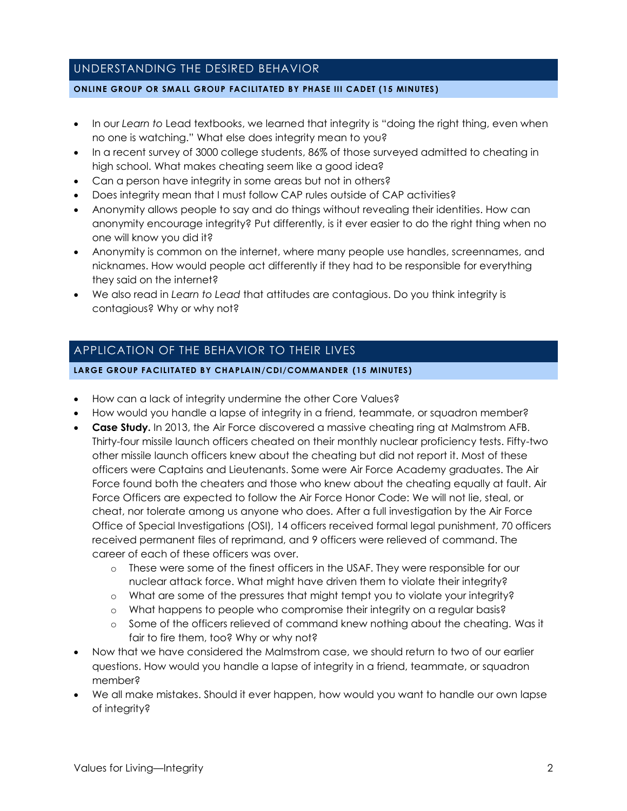## UNDERSTANDING THE DESIRED BEHAVIOR

#### **ONLINE GROUP OR SMALL GROUP FACILITATED BY PHASE III CADET (15 MINUTES )**

- In our *Learn to* Lead textbooks, we learned that integrity is "doing the right thing, even when no one is watching." What else does integrity mean to you?
- In a recent survey of 3000 college students, 86% of those surveyed admitted to cheating in high school. What makes cheating seem like a good idea?
- Can a person have integrity in some areas but not in others?
- Does integrity mean that I must follow CAP rules outside of CAP activities?
- Anonymity allows people to say and do things without revealing their identities. How can anonymity encourage integrity? Put differently, is it ever easier to do the right thing when no one will know you did it?
- Anonymity is common on the internet, where many people use handles, screennames, and nicknames. How would people act differently if they had to be responsible for everything they said on the internet?
- We also read in *Learn to Lead* that attitudes are contagious. Do you think integrity is contagious? Why or why not?

## APPLICATION OF THE BEHAVIOR TO THEIR LIVES

#### **LARGE GROUP FACILITATED BY CHAPLAIN/CDI/COMMANDER (15 MINUTES)**

- How can a lack of integrity undermine the other Core Values?
- How would you handle a lapse of integrity in a friend, teammate, or squadron member?
- **Case Study.** In 2013, the Air Force discovered a massive cheating ring at Malmstrom AFB. Thirty-four missile launch officers cheated on their monthly nuclear proficiency tests. Fifty-two other missile launch officers knew about the cheating but did not report it. Most of these officers were Captains and Lieutenants. Some were Air Force Academy graduates. The Air Force found both the cheaters and those who knew about the cheating equally at fault. Air Force Officers are expected to follow the Air Force Honor Code: We will not lie, steal, or cheat, nor tolerate among us anyone who does. After a full investigation by the Air Force Office of Special Investigations (OSI), 14 officers received formal legal punishment, 70 officers received permanent files of reprimand, and 9 officers were relieved of command. The career of each of these officers was over.
	- o These were some of the finest officers in the USAF. They were responsible for our nuclear attack force. What might have driven them to violate their integrity?
	- o What are some of the pressures that might tempt you to violate your integrity?
	- o What happens to people who compromise their integrity on a regular basis?
	- o Some of the officers relieved of command knew nothing about the cheating. Was it fair to fire them, too? Why or why not?
- Now that we have considered the Malmstrom case, we should return to two of our earlier questions. How would you handle a lapse of integrity in a friend, teammate, or squadron member?
- We all make mistakes. Should it ever happen, how would you want to handle our own lapse of integrity?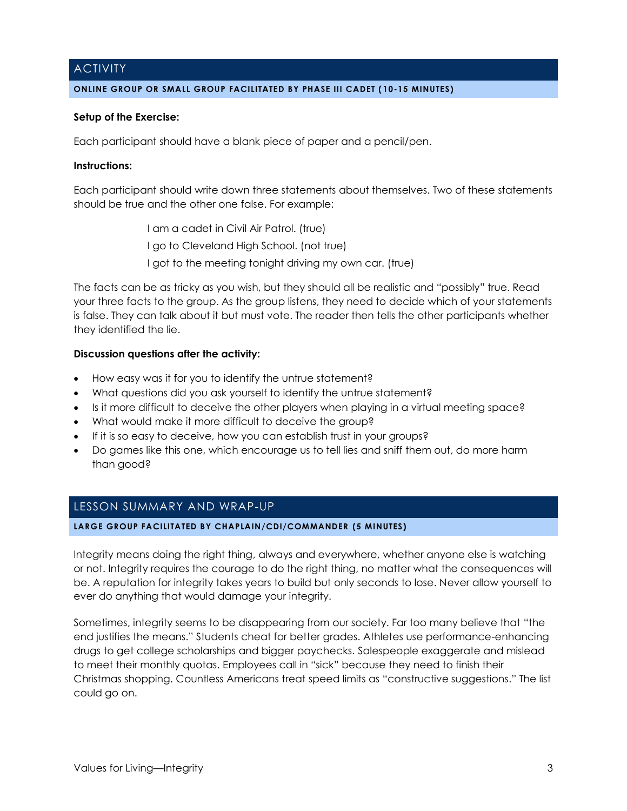## **ACTIVITY**

#### **ONLINE GROUP OR SMALL GROUP FACILITATED BY PHASE III CADET ( 10-15 MINUTES)**

#### **Setup of the Exercise:**

Each participant should have a blank piece of paper and a pencil/pen.

#### **Instructions:**

Each participant should write down three statements about themselves. Two of these statements should be true and the other one false. For example:

> I am a cadet in Civil Air Patrol. (true) I go to Cleveland High School. (not true) I got to the meeting tonight driving my own car. (true)

The facts can be as tricky as you wish, but they should all be realistic and "possibly" true. Read your three facts to the group. As the group listens, they need to decide which of your statements is false. They can talk about it but must vote. The reader then tells the other participants whether they identified the lie.

#### **Discussion questions after the activity:**

- How easy was it for you to identify the untrue statement?
- What questions did you ask yourself to identify the untrue statement?
- Is it more difficult to deceive the other players when playing in a virtual meeting space?
- What would make it more difficult to deceive the group?
- If it is so easy to deceive, how you can establish trust in your groups?
- Do games like this one, which encourage us to tell lies and sniff them out, do more harm than good?

## LESSON SUMMARY AND WRAP-UP

#### **LARGE GROUP FACILITATED BY CHAPLAIN/CDI/COMMANDER (5 MINUTES)**

Integrity means doing the right thing, always and everywhere, whether anyone else is watching or not. Integrity requires the courage to do the right thing, no matter what the consequences will be. A reputation for integrity takes years to build but only seconds to lose. Never allow yourself to ever do anything that would damage your integrity.

Sometimes, integrity seems to be disappearing from our society. Far too many believe that "the end justifies the means." Students cheat for better grades. Athletes use performance-enhancing drugs to get college scholarships and bigger paychecks. Salespeople exaggerate and mislead to meet their monthly quotas. Employees call in "sick" because they need to finish their Christmas shopping. Countless Americans treat speed limits as "constructive suggestions." The list could go on.